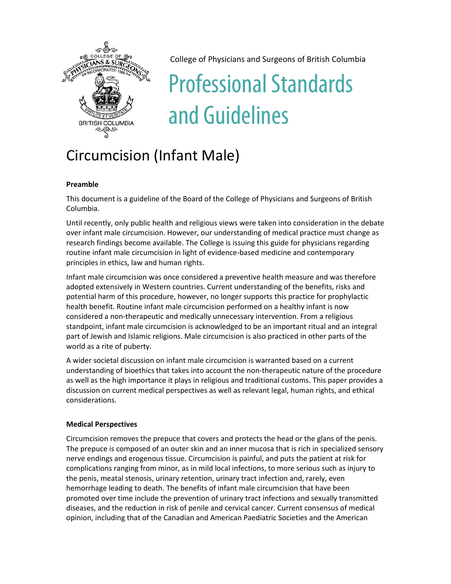

College of Physicians and Surgeons of British Columbia

# Professional Standards and Guidelines

# Circumcision (Infant Male)

## **Preamble**

This document is a guideline of the Board of the College of Physicians and Surgeons of British Columbia.

Until recently, only public health and religious views were taken into consideration in the debate over infant male circumcision. However, our understanding of medical practice must change as research findings become available. The College is issuing this guide for physicians regarding routine infant male circumcision in light of evidence-based medicine and contemporary principles in ethics, law and human rights.

Infant male circumcision was once considered a preventive health measure and was therefore adopted extensively in Western countries. Current understanding of the benefits, risks and potential harm of this procedure, however, no longer supports this practice for prophylactic health benefit. Routine infant male circumcision performed on a healthy infant is now considered a non-therapeutic and medically unnecessary intervention. From a religious standpoint, infant male circumcision is acknowledged to be an important ritual and an integral part of Jewish and Islamic religions. Male circumcision is also practiced in other parts of the world as a rite of puberty.

A wider societal discussion on infant male circumcision is warranted based on a current understanding of bioethics that takes into account the non-therapeutic nature of the procedure as well as the high importance it plays in religious and traditional customs. This paper provides a discussion on current medical perspectives as well as relevant legal, human rights, and ethical considerations.

### **Medical Perspectives**

Circumcision removes the prepuce that covers and protects the head or the glans of the penis. The prepuce is composed of an outer skin and an inner mucosa that is rich in specialized sensory nerve endings and erogenous tissue. Circumcision is painful, and puts the patient at risk for complications ranging from minor, as in mild local infections, to more serious such as injury to the penis, meatal stenosis, urinary retention, urinary tract infection and, rarely, even hemorrhage leading to death. The benefits of infant male circumcision that have been promoted over time include the prevention of urinary tract infections and sexually transmitted diseases, and the reduction in risk of penile and cervical cancer. Current consensus of medical opinion, including that of the Canadian and American Paediatric Societies and the American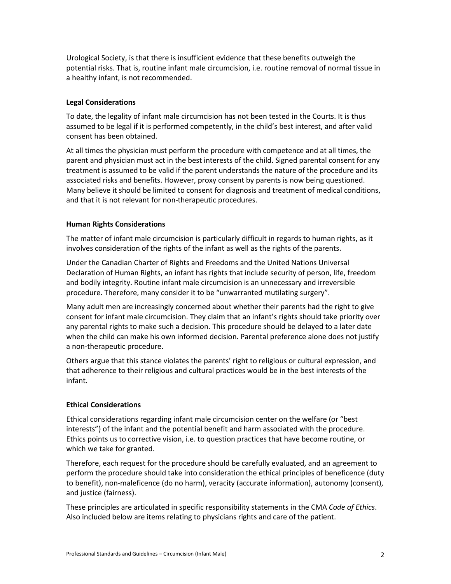Urological Society, is that there is insufficient evidence that these benefits outweigh the potential risks. That is, routine infant male circumcision, i.e. routine removal of normal tissue in a healthy infant, is not recommended.

#### **Legal Considerations**

To date, the legality of infant male circumcision has not been tested in the Courts. It is thus assumed to be legal if it is performed competently, in the child's best interest, and after valid consent has been obtained.

At all times the physician must perform the procedure with competence and at all times, the parent and physician must act in the best interests of the child. Signed parental consent for any treatment is assumed to be valid if the parent understands the nature of the procedure and its associated risks and benefits. However, proxy consent by parents is now being questioned. Many believe it should be limited to consent for diagnosis and treatment of medical conditions, and that it is not relevant for non-therapeutic procedures.

#### **Human Rights Considerations**

The matter of infant male circumcision is particularly difficult in regards to human rights, as it involves consideration of the rights of the infant as well as the rights of the parents.

Under the Canadian Charter of Rights and Freedoms and the United Nations Universal Declaration of Human Rights, an infant has rights that include security of person, life, freedom and bodily integrity. Routine infant male circumcision is an unnecessary and irreversible procedure. Therefore, many consider it to be "unwarranted mutilating surgery".

Many adult men are increasingly concerned about whether their parents had the right to give consent for infant male circumcision. They claim that an infant's rights should take priority over any parental rights to make such a decision. This procedure should be delayed to a later date when the child can make his own informed decision. Parental preference alone does not justify a non-therapeutic procedure.

Others argue that this stance violates the parents' right to religious or cultural expression, and that adherence to their religious and cultural practices would be in the best interests of the infant.

#### **Ethical Considerations**

Ethical considerations regarding infant male circumcision center on the welfare (or "best interests") of the infant and the potential benefit and harm associated with the procedure. Ethics points us to corrective vision, i.e. to question practices that have become routine, or which we take for granted.

Therefore, each request for the procedure should be carefully evaluated, and an agreement to perform the procedure should take into consideration the ethical principles of beneficence (duty to benefit), non-maleficence (do no harm), veracity (accurate information), autonomy (consent), and justice (fairness).

These principles are articulated in specific responsibility statements in the CMA *Code of Ethics*. Also included below are items relating to physicians rights and care of the patient.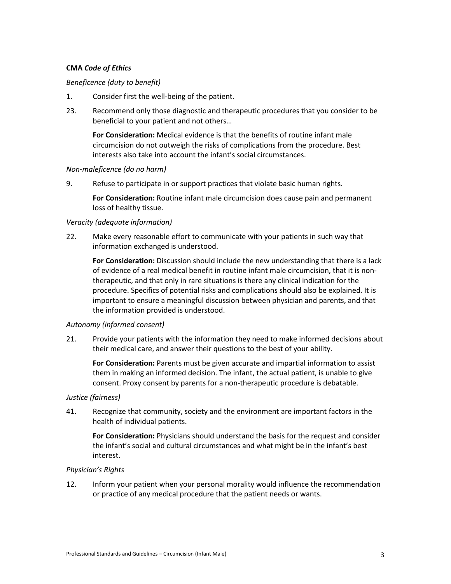#### **CMA** *Code of Ethics*

#### *Beneficence (duty to benefit)*

- 1. Consider first the well-being of the patient.
- 23. Recommend only those diagnostic and therapeutic procedures that you consider to be beneficial to your patient and not others…

**For Consideration:** Medical evidence is that the benefits of routine infant male circumcision do not outweigh the risks of complications from the procedure. Best interests also take into account the infant's social circumstances.

#### *Non-maleficence (do no harm)*

9. Refuse to participate in or support practices that violate basic human rights.

**For Consideration:** Routine infant male circumcision does cause pain and permanent loss of healthy tissue.

#### *Veracity (adequate information)*

22. Make every reasonable effort to communicate with your patients in such way that information exchanged is understood.

**For Consideration:** Discussion should include the new understanding that there is a lack of evidence of a real medical benefit in routine infant male circumcision, that it is nontherapeutic, and that only in rare situations is there any clinical indication for the procedure. Specifics of potential risks and complications should also be explained. It is important to ensure a meaningful discussion between physician and parents, and that the information provided is understood.

#### *Autonomy (informed consent)*

21. Provide your patients with the information they need to make informed decisions about their medical care, and answer their questions to the best of your ability.

**For Consideration:** Parents must be given accurate and impartial information to assist them in making an informed decision. The infant, the actual patient, is unable to give consent. Proxy consent by parents for a non-therapeutic procedure is debatable.

#### *Justice (fairness)*

41. Recognize that community, society and the environment are important factors in the health of individual patients.

**For Consideration:** Physicians should understand the basis for the request and consider the infant's social and cultural circumstances and what might be in the infant's best interest.

#### *Physician's Rights*

12. Inform your patient when your personal morality would influence the recommendation or practice of any medical procedure that the patient needs or wants.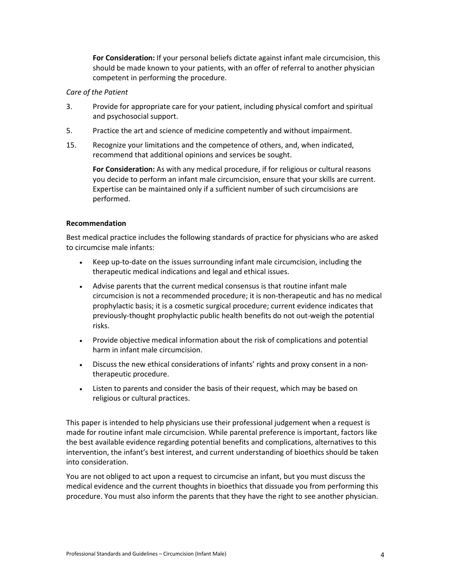**For Consideration:** If your personal beliefs dictate against infant male circumcision, this should be made known to your patients, with an offer of referral to another physician competent in performing the procedure.

#### *Care of the Patient*

- 3. Provide for appropriate care for your patient, including physical comfort and spiritual and psychosocial support.
- 5. Practice the art and science of medicine competently and without impairment.
- 15. Recognize your limitations and the competence of others, and, when indicated, recommend that additional opinions and services be sought.

**For Consideration:** As with any medical procedure, if for religious or cultural reasons you decide to perform an infant male circumcision, ensure that your skills are current. Expertise can be maintained only if a sufficient number of such circumcisions are performed.

#### **Recommendation**

Best medical practice includes the following standards of practice for physicians who are asked to circumcise male infants:

- Keep up-to-date on the issues surrounding infant male circumcision, including the therapeutic medical indications and legal and ethical issues.
- Advise parents that the current medical consensus is that routine infant male circumcision is not a recommended procedure; it is non-therapeutic and has no medical prophylactic basis; it is a cosmetic surgical procedure; current evidence indicates that previously-thought prophylactic public health benefits do not out-weigh the potential risks.
- Provide objective medical information about the risk of complications and potential harm in infant male circumcision.
- Discuss the new ethical considerations of infants' rights and proxy consent in a nontherapeutic procedure.
- Listen to parents and consider the basis of their request, which may be based on religious or cultural practices.

This paper is intended to help physicians use their professional judgement when a request is made for routine infant male circumcision. While parental preference is important, factors like the best available evidence regarding potential benefits and complications, alternatives to this intervention, the infant's best interest, and current understanding of bioethics should be taken into consideration.

You are not obliged to act upon a request to circumcise an infant, but you must discuss the medical evidence and the current thoughts in bioethics that dissuade you from performing this procedure. You must also inform the parents that they have the right to see another physician.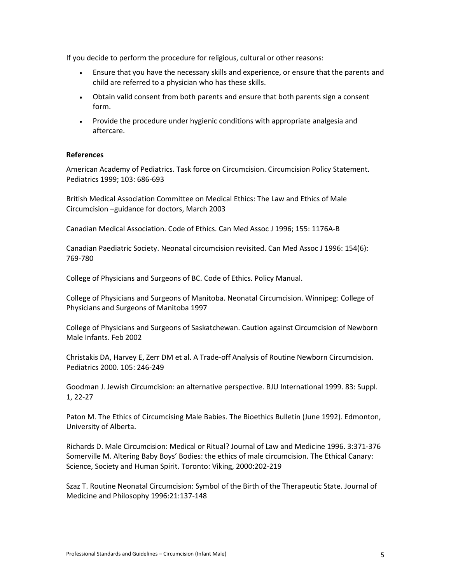If you decide to perform the procedure for religious, cultural or other reasons:

- Ensure that you have the necessary skills and experience, or ensure that the parents and child are referred to a physician who has these skills.
- Obtain valid consent from both parents and ensure that both parents sign a consent form.
- Provide the procedure under hygienic conditions with appropriate analgesia and aftercare.

#### **References**

American Academy of Pediatrics. Task force on Circumcision. Circumcision Policy Statement. Pediatrics 1999; 103: 686-693

British Medical Association Committee on Medical Ethics: The Law and Ethics of Male Circumcision –guidance for doctors, March 2003

Canadian Medical Association. Code of Ethics. Can Med Assoc J 1996; 155: 1176A-B

Canadian Paediatric Society. Neonatal circumcision revisited. Can Med Assoc J 1996: 154(6): 769-780

College of Physicians and Surgeons of BC. Code of Ethics. Policy Manual.

College of Physicians and Surgeons of Manitoba. Neonatal Circumcision. Winnipeg: College of Physicians and Surgeons of Manitoba 1997

College of Physicians and Surgeons of Saskatchewan. Caution against Circumcision of Newborn Male Infants. Feb 2002

Christakis DA, Harvey E, Zerr DM et al. A Trade-off Analysis of Routine Newborn Circumcision. Pediatrics 2000. 105: 246-249

Goodman J. Jewish Circumcision: an alternative perspective. BJU International 1999. 83: Suppl. 1, 22-27

Paton M. The Ethics of Circumcising Male Babies. The Bioethics Bulletin (June 1992). Edmonton, University of Alberta.

Richards D. Male Circumcision: Medical or Ritual? Journal of Law and Medicine 1996. 3:371-376 Somerville M. Altering Baby Boys' Bodies: the ethics of male circumcision. The Ethical Canary: Science, Society and Human Spirit. Toronto: Viking, 2000:202-219

Szaz T. Routine Neonatal Circumcision: Symbol of the Birth of the Therapeutic State. Journal of Medicine and Philosophy 1996:21:137-148